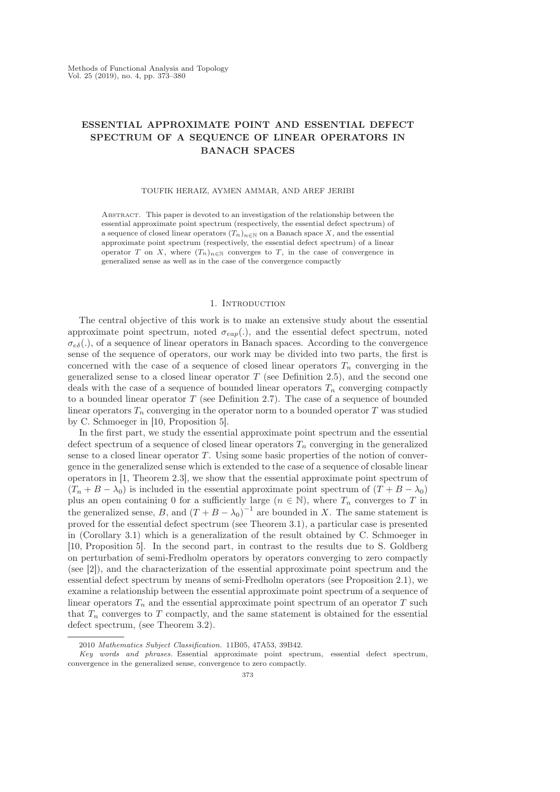# ESSENTIAL APPROXIMATE POINT AND ESSENTIAL DEFECT SPECTRUM OF A SEQUENCE OF LINEAR OPERATORS IN BANACH SPACES

## TOUFIK HERAIZ, AYMEN AMMAR, AND AREF JERIBI

Abstract. This paper is devoted to an investigation of the relationship between the essential approximate point spectrum (respectively, the essential defect spectrum) of a sequence of closed linear operators  $(T_n)_{n\in\mathbb{N}}$  on a Banach space X, and the essential approximate point spectrum (respectively, the essential defect spectrum) of a linear operator T on X, where  $(T_n)_{n\in\mathbb{N}}$  converges to T, in the case of convergence in generalized sense as well as in the case of the convergence compactly

## 1. INTRODUCTION

The central objective of this work is to make an extensive study about the essential approximate point spectrum, noted  $\sigma_{\text{cap}}(.)$ , and the essential defect spectrum, noted  $\sigma_{e\delta}$ (.), of a sequence of linear operators in Banach spaces. According to the convergence sense of the sequence of operators, our work may be divided into two parts, the first is concerned with the case of a sequence of closed linear operators  $T_n$  converging in the generalized sense to a closed linear operator  $T$  (see Definition 2.5), and the second one deals with the case of a sequence of bounded linear operators  $T_n$  converging compactly to a bounded linear operator  $T$  (see Definition 2.7). The case of a sequence of bounded linear operators  $T_n$  converging in the operator norm to a bounded operator T was studied by C. Schmoeger in [10, Proposition 5].

In the first part, we study the essential approximate point spectrum and the essential defect spectrum of a sequence of closed linear operators  $T_n$  converging in the generalized sense to a closed linear operator T. Using some basic properties of the notion of convergence in the generalized sense which is extended to the case of a sequence of closable linear operators in [1, Theorem 2.3], we show that the essential approximate point spectrum of  $(T_n + B - \lambda_0)$  is included in the essential approximate point spectrum of  $(T + B - \lambda_0)$ plus an open containing 0 for a sufficiently large  $(n \in \mathbb{N})$ , where  $T_n$  converges to T in the generalized sense, B, and  $(T + B - \lambda_0)^{-1}$  are bounded in X. The same statement is proved for the essential defect spectrum (see Theorem 3.1), a particular case is presented in (Corollary 3.1) which is a generalization of the result obtained by C. Schmoeger in [10, Proposition 5]. In the second part, in contrast to the results due to S. Goldberg on perturbation of semi-Fredholm operators by operators converging to zero compactly (see [2]), and the characterization of the essential approximate point spectrum and the essential defect spectrum by means of semi-Fredholm operators (see Proposition 2.1), we examine a relationship between the essential approximate point spectrum of a sequence of linear operators  $T_n$  and the essential approximate point spectrum of an operator T such that  $T_n$  converges to T compactly, and the same statement is obtained for the essential defect spectrum, (see Theorem 3.2).

<sup>2010</sup> Mathematics Subject Classification. 11B05, 47A53, 39B42.

Key words and phrases. Essential approximate point spectrum, essential defect spectrum, convergence in the generalized sense, convergence to zero compactly.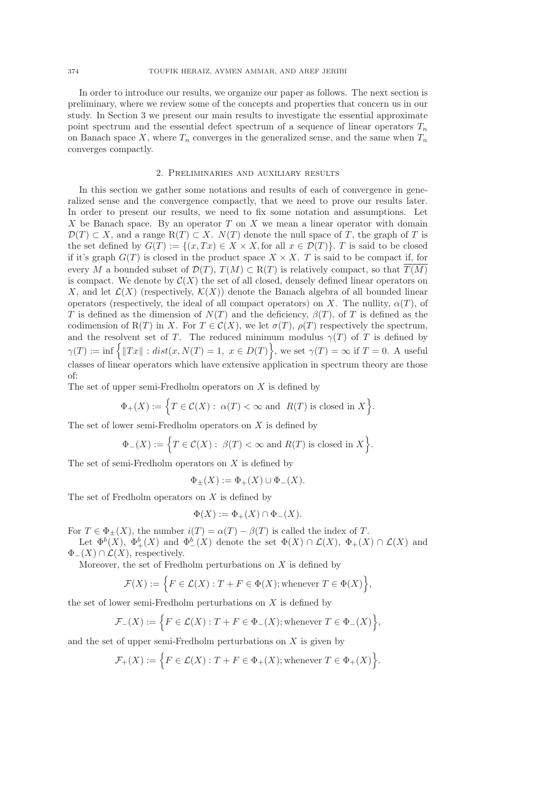In order to introduce our results, we organize our paper as follows. The next section is preliminary, where we review some of the concepts and properties that concern us in our study. In Section 3 we present our main results to investigate the essential approximate point spectrum and the essential defect spectrum of a sequence of linear operators  $T_n$ on Banach space X, where  $T_n$  converges in the generalized sense, and the same when  $T_n$ converges compactly.

#### 2. Preliminaries and auxiliary results

In this section we gather some notations and results of each of convergence in generalized sense and the convergence compactly, that we need to prove our results later. In order to present our results, we need to fix some notation and assumptions. Let X be Banach space. By an operator  $T$  on  $X$  we mean a linear operator with domain  $\mathcal{D}(T) \subset X$ , and a range  $R(T) \subset X$ .  $N(T)$  denote the null space of T, the graph of T is the set defined by  $G(T) := \{(x, Tx) \in X \times X, \text{ for all } x \in \mathcal{D}(T)\}\$ . T is said to be closed if it's graph  $G(T)$  is closed in the product space  $X \times X$ . T is said to be compact if, for every M a bounded subset of  $\mathcal{D}(T), T(M) \subset R(T)$  is relatively compact, so that  $\overline{T}(M)$ is compact. We denote by  $\mathcal{C}(X)$  the set of all closed, densely defined linear operators on X, and let  $\mathcal{L}(X)$  (respectively,  $\mathcal{K}(X)$ ) denote the Banach algebra of all bounded linear operators (respectively, the ideal of all compact operators) on X. The nullity,  $\alpha(T)$ , of T is defined as the dimension of  $N(T)$  and the deficiency,  $\beta(T)$ , of T is defined as the codimension of R(T) in X. For  $T \in \mathcal{C}(X)$ , we let  $\sigma(T)$ ,  $\rho(T)$  respectively the spectrum, and the resolvent set of T. The reduced minimum modulus  $\gamma(T)$  of T is defined by  $\gamma(T) := \inf \left\{ ||Tx|| : dist(x, N(T) = 1, x \in D(T) \right\},\$ we set  $\gamma(T) = \infty$  if  $T = 0$ . A useful classes of linear operators which have extensive application in spectrum theory are those of:

The set of upper semi-Fredholm operators on  $X$  is defined by

$$
\Phi_+(X) := \Big\{ T \in \mathcal{C}(X) : \ \alpha(T) < \infty \text{ and } \ R(T) \text{ is closed in } X \Big\}.
$$

The set of lower semi-Fredholm operators on  $X$  is defined by

$$
\Phi_{-}(X) := \Big\{ T \in \mathcal{C}(X) : \ \beta(T) < \infty \text{ and } R(T) \text{ is closed in } X \Big\}.
$$

The set of semi-Fredholm operators on  $X$  is defined by

$$
\Phi_{\pm}(X) := \Phi_{+}(X) \cup \Phi_{-}(X).
$$

The set of Fredholm operators on  $X$  is defined by

$$
\Phi(X) := \Phi_+(X) \cap \Phi_-(X).
$$

For  $T \in \Phi_{\pm}(X)$ , the number  $i(T) = \alpha(T) - \beta(T)$  is called the index of T.

Let  $\Phi^b(X)$ ,  $\Phi^b_+(X)$  and  $\Phi^b_-(X)$  denote the set  $\Phi(X) \cap \mathcal{L}(X)$ ,  $\Phi_+(X) \cap \mathcal{L}(X)$  and  $\Phi_-(X) \cap \mathcal{L}(X)$ , respectively.

Moreover, the set of Fredholm perturbations on  $X$  is defined by

$$
\mathcal{F}(X) := \Big\{ F \in \mathcal{L}(X) : T + F \in \Phi(X); \text{whenever } T \in \Phi(X) \Big\},\
$$

the set of lower semi-Fredholm perturbations on X is defined by

$$
\mathcal{F}_-(X) := \Big\{ F \in \mathcal{L}(X) : T + F \in \Phi_-(X); \text{whenever } T \in \Phi_-(X) \Big\},\
$$

and the set of upper semi-Fredholm perturbations on  $X$  is given by

$$
\mathcal{F}_+(X):=\Big\{F\in\mathcal{L}(X):T+F\in\Phi_+(X); \text{whenever }T\in\Phi_+(X)\Big\}.
$$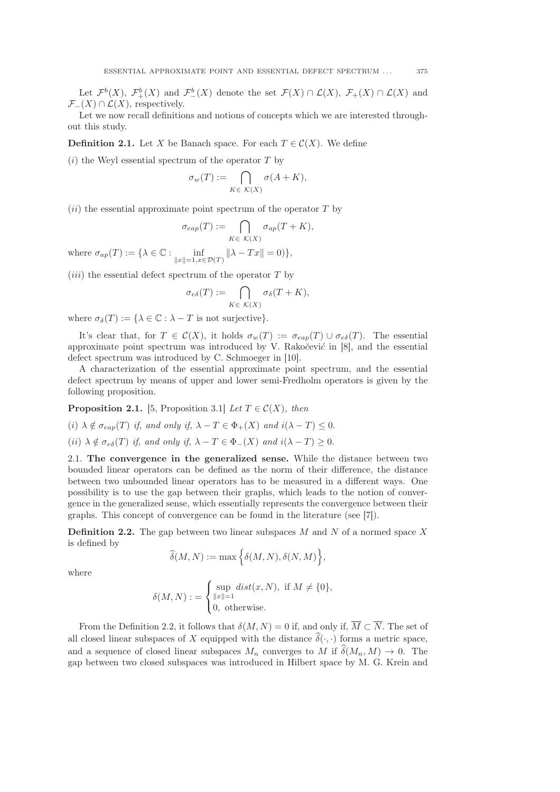Let  $\mathcal{F}^b(X)$ ,  $\mathcal{F}^b_+(X)$  and  $\mathcal{F}^b_-(X)$  denote the set  $\mathcal{F}(X) \cap \mathcal{L}(X)$ ,  $\mathcal{F}_+(X) \cap \mathcal{L}(X)$  and  $\mathcal{F}_-(X) \cap \mathcal{L}(X)$ , respectively.

Let we now recall definitions and notions of concepts which we are interested throughout this study.

**Definition 2.1.** Let X be Banach space. For each  $T \in \mathcal{C}(X)$ . We define

 $(i)$  the Weyl essential spectrum of the operator T by

$$
\sigma_w(T) := \bigcap_{K \in \mathcal{K}(X)} \sigma(A + K),
$$

 $(ii)$  the essential approximate point spectrum of the operator T by

$$
\sigma_{eap}(T) := \bigcap_{K \in \mathcal{K}(X)} \sigma_{ap}(T + K),
$$
  

$$
\lambda \in \mathbb{C} : \text{inf} \qquad \|\lambda - Tx\| = 0
$$

where  $\sigma_{ap}(T) := \{ \lambda \in \mathbb{C} : \inf_{\|x\|=1, x \in \mathcal{D}(T)} \}$  $\|\lambda - Tx\| = 0$ },

 $(iii)$  the essential defect spectrum of the operator T by

$$
\sigma_{e\delta}(T) := \bigcap_{K \in \mathcal{K}(X)} \sigma_{\delta}(T + K),
$$

where  $\sigma_{\delta}(T) := {\lambda \in \mathbb{C} : \lambda - T \text{ is not surjective}}$ .

It's clear that, for  $T \in \mathcal{C}(X)$ , it holds  $\sigma_w(T) := \sigma_{\text{cap}}(T) \cup \sigma_{\text{e}\delta}(T)$ . The essential approximate point spectrum was introduced by V. Rakoc̆evic $\ell$  in [8], and the essential defect spectrum was introduced by C. Schmoeger in [10].

A characterization of the essential approximate point spectrum, and the essential defect spectrum by means of upper and lower semi-Fredholm operators is given by the following proposition.

**Proposition 2.1.** [5, Proposition 3.1] Let  $T \in \mathcal{C}(X)$ , then

(i)  $\lambda \notin \sigma_{ean}(T)$  if, and only if,  $\lambda - T \in \Phi_+(X)$  and  $i(\lambda - T) \leq 0$ .

(ii)  $\lambda \notin \sigma_{e\delta}(T)$  if, and only if,  $\lambda - T \in \Phi_-(X)$  and  $i(\lambda - T) \geq 0$ .

2.1. The convergence in the generalized sense. While the distance between two bounded linear operators can be defined as the norm of their difference, the distance between two unbounded linear operators has to be measured in a different ways. One possibility is to use the gap between their graphs, which leads to the notion of convergence in the generalized sense, which essentially represents the convergence between their graphs. This concept of convergence can be found in the literature (see [7]).

**Definition 2.2.** The gap between two linear subspaces  $M$  and  $N$  of a normed space  $X$ is defined by

$$
\widehat{\delta}(M,N) := \max\Big\{\delta(M,N), \delta(N,M)\Big\},
$$

where

$$
\delta(M, N) := \begin{cases} \sup_{\|x\|=1} dist(x, N), & \text{if } M \neq \{0\}, \\ 0, & \text{otherwise.} \end{cases}
$$

From the Definition 2.2, it follows that  $\delta(M, N) = 0$  if, and only if,  $\overline{M} \subset \overline{N}$ . The set of all closed linear subspaces of X equipped with the distance  $\hat{\delta}(\cdot, \cdot)$  forms a metric space, and a sequence of closed linear subspaces  $M_n$  converges to M if  $\widehat{\delta}(M_n, M) \to 0$ . The gap between two closed subspaces was introduced in Hilbert space by M. G. Krein and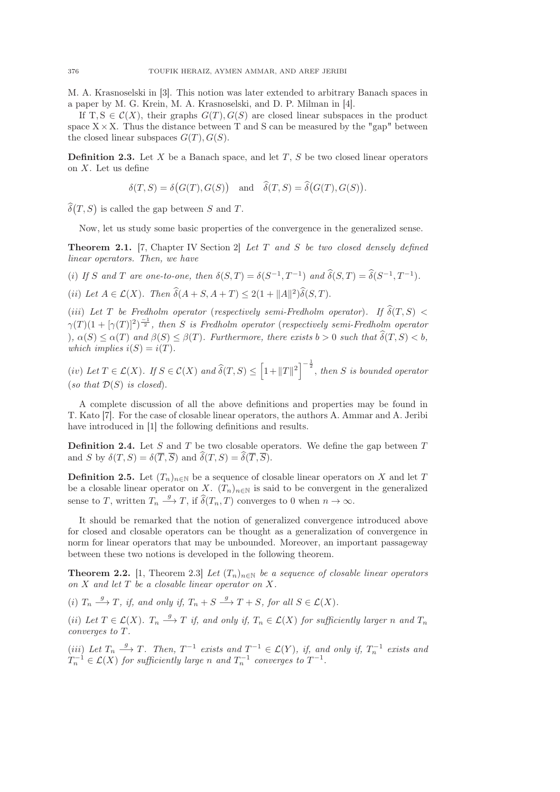M. A. Krasnoselski in [3]. This notion was later extended to arbitrary Banach spaces in a paper by M. G. Krein, M. A. Krasnoselski, and D. P. Milman in [4].

If T,  $S \in \mathcal{C}(X)$ , their graphs  $G(T)$ ,  $G(S)$  are closed linear subspaces in the product space  $X \times X$ . Thus the distance between T and S can be measured by the "gap" between the closed linear subspaces  $G(T), G(S)$ .

**Definition 2.3.** Let  $X$  be a Banach space, and let  $T$ ,  $S$  be two closed linear operators on  $X$ . Let us define

$$
\delta(T,S)=\delta\big(G(T),G(S)\big)\quad\text{and}\quad\widehat{\delta}(T,S)=\widehat{\delta}\big(G(T),G(S)\big).
$$

 $\widehat{\delta}(T, S)$  is called the gap between S and T.

Now, let us study some basic properties of the convergence in the generalized sense.

**Theorem 2.1.** [7, Chapter IV Section 2] Let T and S be two closed densely defined linear operators. Then, we have

(i) If S and T are one-to-one, then  $\delta(S,T) = \delta(S^{-1}, T^{-1})$  and  $\hat{\delta}(S,T) = \hat{\delta}(S^{-1}, T^{-1})$ .

(ii) Let  $A \in \mathcal{L}(X)$ . Then  $\widehat{\delta}(A+S, A+T) \leq 2(1 + ||A||^2)\widehat{\delta}(S,T)$ .

(iii) Let T be Fredholm operator (respectively semi-Fredholm operator). If  $\hat{\delta}(T, S)$  <  $\gamma(T)(1+[\gamma(T)]^2)^{\frac{-1}{2}}$ , then S is Fredholm operator (respectively semi-Fredholm operator ),  $\alpha(S) \leq \alpha(T)$  and  $\beta(S) \leq \beta(T)$ . Furthermore, there exists  $b > 0$  such that  $\widehat{\delta}(T, S) < b$ , which implies  $i(S) = i(T)$ .

(iv) Let  $T \in \mathcal{L}(X)$ . If  $S \in \mathcal{C}(X)$  and  $\widehat{\delta}(T, S) \le \left[1 + ||T||^2\right]^{-\frac{1}{2}}$ , then S is bounded operator (so that  $\mathcal{D}(S)$  is closed).

A complete discussion of all the above definitions and properties may be found in T. Kato [7]. For the case of closable linear operators, the authors A. Ammar and A. Jeribi have introduced in [1] the following definitions and results.

**Definition 2.4.** Let S and T be two closable operators. We define the gap between  $T$ and S by  $\delta(T, S) = \delta(\overline{T}, \overline{S})$  and  $\widehat{\delta}(T, S) = \widehat{\delta}(\overline{T}, \overline{S}).$ 

**Definition 2.5.** Let  $(T_n)_{n\in\mathbb{N}}$  be a sequence of closable linear operators on X and let T be a closable linear operator on X.  $(T_n)_{n\in\mathbb{N}}$  is said to be convergent in the generalized sense to T, written  $T_n \stackrel{g}{\longrightarrow} T$ , if  $\widehat{\delta}(T_n, T)$  converges to 0 when  $n \to \infty$ .

It should be remarked that the notion of generalized convergence introduced above for closed and closable operators can be thought as a generalization of convergence in norm for linear operators that may be unbounded. Moreover, an important passageway between these two notions is developed in the following theorem.

**Theorem 2.2.** [1, Theorem 2.3] Let  $(T_n)_{n\in\mathbb{N}}$  be a sequence of closable linear operators on  $X$  and let  $T$  be a closable linear operator on  $X$ .

(i)  $T_n \xrightarrow{g} T$ , if, and only if,  $T_n + S \xrightarrow{g} T + S$ , for all  $S \in \mathcal{L}(X)$ .

(ii) Let  $T \in \mathcal{L}(X)$ .  $T_n \stackrel{g}{\longrightarrow} T$  if, and only if,  $T_n \in \mathcal{L}(X)$  for sufficiently larger n and  $T_n$ converges to T.

(iii) Let  $T_n \stackrel{g}{\longrightarrow} T$ . Then,  $T^{-1}$  exists and  $T^{-1} \in \mathcal{L}(Y)$ , if, and only if,  $T_n^{-1}$  exists and  $T_n^{-1} \in \mathcal{L}(X)$  for sufficiently large n and  $T_n^{-1}$  converges to  $T^{-1}$ .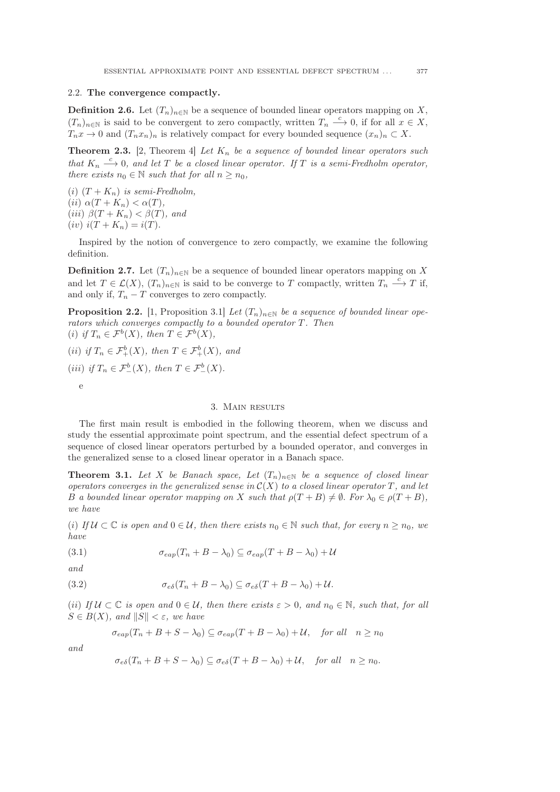# 2.2. The convergence compactly.

**Definition 2.6.** Let  $(T_n)_{n \in \mathbb{N}}$  be a sequence of bounded linear operators mapping on X,  $(T_n)_{n\in\mathbb{N}}$  is said to be convergent to zero compactly, written  $T_n \xrightarrow{c} 0$ , if for all  $x \in X$ ,  $T_nx \to 0$  and  $(T_nx_n)_n$  is relatively compact for every bounded sequence  $(x_n)_n \subset X$ .

**Theorem 2.3.** [2, Theorem 4] Let  $K_n$  be a sequence of bounded linear operators such that  $K_n \stackrel{c}{\longrightarrow} 0$ , and let T be a closed linear operator. If T is a semi-Fredholm operator, there exists  $n_0 \in \mathbb{N}$  such that for all  $n \geq n_0$ ,

(i)  $(T + K_n)$  is semi-Fredholm, (ii)  $\alpha(T+K_n) < \alpha(T)$ , (iii)  $\beta(T+K_n) < \beta(T)$ , and  $(iv) i(T + K_n) = i(T).$ 

Inspired by the notion of convergence to zero compactly, we examine the following definition.

**Definition 2.7.** Let  $(T_n)_{n\in\mathbb{N}}$  be a sequence of bounded linear operators mapping on X and let  $T \in \mathcal{L}(X)$ ,  $(T_n)_{n \in \mathbb{N}}$  is said to be converge to T compactly, written  $T_n \xrightarrow{c} T$  if, and only if,  $T_n - T$  converges to zero compactly.

**Proposition 2.2.** [1, Proposition 3.1] Let  $(T_n)_{n \in \mathbb{N}}$  be a sequence of bounded linear operators which converges compactly to a bounded operator T. Then (i) if  $T_n \in \mathcal{F}^b(X)$ , then  $T \in \mathcal{F}^b(X)$ ,

(ii) if  $T_n \in \mathcal{F}^b_+(X)$ , then  $T \in \mathcal{F}^b_+(X)$ , and (iii) if  $T_n \in \mathcal{F}^b_-(X)$ , then  $T \in \mathcal{F}^b_-(X)$ . e

# 3. Main results

The first main result is embodied in the following theorem, when we discuss and study the essential approximate point spectrum, and the essential defect spectrum of a sequence of closed linear operators perturbed by a bounded operator, and converges in the generalized sense to a closed linear operator in a Banach space.

**Theorem 3.1.** Let X be Banach space, Let  $(T_n)_{n\in\mathbb{N}}$  be a sequence of closed linear operators converges in the generalized sense in  $C(X)$  to a closed linear operator T, and let B a bounded linear operator mapping on X such that  $\rho(T+B) \neq \emptyset$ . For  $\lambda_0 \in \rho(T+B)$ , we have

(i) If  $U \subset \mathbb{C}$  is open and  $0 \in \mathcal{U}$ , then there exists  $n_0 \in \mathbb{N}$  such that, for every  $n \geq n_0$ , we have

(3.1) 
$$
\sigma_{eap}(T_n + B - \lambda_0) \subseteq \sigma_{eap}(T + B - \lambda_0) + \mathcal{U}
$$

and

(3.2) 
$$
\sigma_{e\delta}(T_n + B - \lambda_0) \subseteq \sigma_{e\delta}(T + B - \lambda_0) + \mathcal{U}.
$$

(ii) If  $U \subset \mathbb{C}$  is open and  $0 \in \mathcal{U}$ , then there exists  $\varepsilon > 0$ , and  $n_0 \in \mathbb{N}$ , such that, for all  $S \in B(X)$ , and  $||S|| < \varepsilon$ , we have

$$
\sigma_{eap}(T_n + B + S - \lambda_0) \subseteq \sigma_{eap}(T + B - \lambda_0) + \mathcal{U}, \quad \text{for all} \quad n \ge n_0
$$

and

$$
\sigma_{e\delta}(T_n + B + S - \lambda_0) \subseteq \sigma_{e\delta}(T + B - \lambda_0) + \mathcal{U}, \quad \text{for all} \quad n \ge n_0.
$$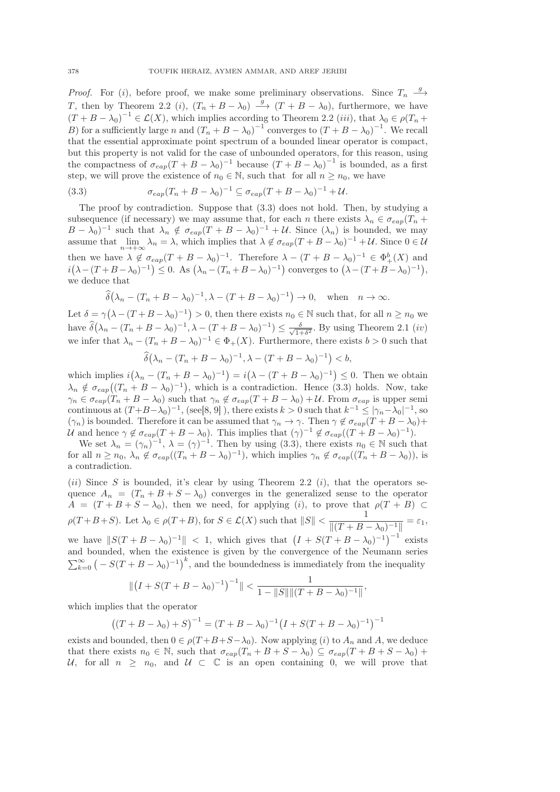*Proof.* For (*i*), before proof, we make some preliminary observations. Since  $T_n \longrightarrow$ T, then by Theorem 2.2 (*i*),  $(T_n + B - \lambda_0) \stackrel{g}{\longrightarrow} (T + B - \lambda_0)$ , furthermore, we have  $(T + B - \lambda_0)^{-1} \in \mathcal{L}(X)$ , which implies according to Theorem 2.2 (iii), that  $\lambda_0 \in \rho(T_n +$ B) for a sufficiently large n and  $(T_n + B - \lambda_0)^{-1}$  converges to  $(T + B - \lambda_0)^{-1}$ . We recall that the essential approximate point spectrum of a bounded linear operator is compact, but this property is not valid for the case of unbounded operators, for this reason, using the compactness of  $\sigma_{eap}(T + B - \lambda_0)^{-1}$  because  $(T + B - \lambda_0)^{-1}$  is bounded, as a first step, we will prove the existence of  $n_0 \in \mathbb{N}$ , such that for all  $n \geq n_0$ , we have

(3.3) 
$$
\sigma_{\exp}(T_n + B - \lambda_0)^{-1} \subseteq \sigma_{\exp}(T + B - \lambda_0)^{-1} + \mathcal{U}.
$$

The proof by contradiction. Suppose that (3.3) does not hold. Then, by studying a subsequence (if necessary) we may assume that, for each n there exists  $\lambda_n \in \sigma_{eap}(T_n +$  $(B - \lambda_0)^{-1}$  such that  $\lambda_n \notin \sigma_{\text{cap}}(T + B - \lambda_0)^{-1} + U$ . Since  $(\lambda_n)$  is bounded, we may assume that  $\lim_{n \to +\infty} \lambda_n = \lambda$ , which implies that  $\lambda \notin \sigma_{eap}(T + B - \lambda_0)^{-1} + U$ . Since  $0 \in \mathcal{U}$ then we have  $\lambda \notin \sigma_{\text{cap}}(T + B - \lambda_0)^{-1}$ . Therefore  $\lambda - (T + B - \lambda_0)^{-1} \in \Phi_+^b(X)$  and  $i(\lambda-(T+B-\lambda_0)^{-1}) \leq 0$ . As  $(\lambda_n-(T_n+B-\lambda_0)^{-1})$  converges to  $(\lambda-(T+B-\lambda_0)^{-1})$ , we deduce that

$$
\widehat{\delta}(\lambda_n - (T_n + B - \lambda_0)^{-1}, \lambda - (T + B - \lambda_0)^{-1}) \to 0, \text{ when } n \to \infty.
$$

Let  $\delta = \gamma (\lambda - (T + B - \lambda_0)^{-1}) > 0$ , then there exists  $n_0 \in \mathbb{N}$  such that, for all  $n \ge n_0$  we have  $\widehat{\delta}(\lambda_n - (T_n + B - \lambda_0)^{-1}, \lambda - (T + B - \lambda_0)^{-1}) \leq \frac{\delta}{\sqrt{1+\delta}}$  $\frac{\delta}{1+\delta^2}$ . By using Theorem 2.1  $(iv)$ we infer that  $\lambda_n - (T_n + B - \lambda_0)^{-1} \in \Phi_+(X)$ . Furthermore, there exists  $b > 0$  such that

$$
\widehat{\delta}(\lambda_n - (T_n + B - \lambda_0)^{-1}, \lambda - (T + B - \lambda_0)^{-1}) < b,
$$

which implies  $i(\lambda_n - (T_n + B - \lambda_0)^{-1}) = i(\lambda - (T + B - \lambda_0)^{-1}) \leq 0$ . Then we obtain  $\lambda_n \notin \sigma_{eap}((T_n + B - \lambda_0)^{-1})$ , which is a contradiction. Hence (3.3) holds. Now, take  $\gamma_n \in \sigma_{eap}(T_n + B - \lambda_0)$  such that  $\gamma_n \notin \sigma_{eap}(T + B - \lambda_0) + U$ . From  $\sigma_{eap}$  is upper semi continuous at  $(T+B-\lambda_0)^{-1}$ , (see[8, 9]), there exists  $k>0$  such that  $k^{-1} \leq |\gamma_n-\lambda_0|^{-1}$ , so  $(\gamma_n)$  is bounded. Therefore it can be assumed that  $\gamma_n \to \gamma$ . Then  $\gamma \notin \sigma_{eap}(T + B - \lambda_0) +$ U and hence  $\gamma \notin \sigma_{eap}(T + B - \lambda_0)$ . This implies that  $(\gamma)^{-1} \notin \sigma_{eap}((T + B - \lambda_0)^{-1})$ .

We set  $\lambda_n = (\gamma_n)^{-1}$ ,  $\lambda = (\gamma)^{-1}$ . Then by using (3.3), there exists  $n_0 \in \mathbb{N}$  such that for all  $n \ge n_0$ ,  $\lambda_n \notin \sigma_{eap}((T_n + B - \lambda_0)^{-1})$ , which implies  $\gamma_n \notin \sigma_{eap}((T_n + B - \lambda_0))$ , is a contradiction.

(ii) Since S is bounded, it's clear by using Theorem 2.2 (i), that the operators sequence  $A_n = (T_n + B + S - \lambda_0)$  converges in the generalized sense to the operator  $A = (T + B + S - \lambda_0)$ , then we need, for applying (i), to prove that  $\rho(T + B) \subset$  $\rho(T+B+S)$ . Let  $\lambda_0 \in \rho(T+B)$ , for  $S \in \mathcal{L}(X)$  such that  $||S|| < \frac{1}{\mathbb{I}(T+B)}$  $\frac{1}{\|(T + B - \lambda_0)^{-1}\|} = \varepsilon_1,$ we have  $||S(T + B - \lambda_0)^{-1}|| < 1$ , which gives that  $(I + S(T + B - \lambda_0)^{-1})^{-1}$  exists and bounded, when the existence is given by the convergence of the Neumann series  $\sum_{k=0}^{\infty}$   $\left(-S(T+B-\lambda_0)^{-1}\right)^k$ , and the boundedness is immediately from the inequality

$$
\| (I + S(T + B - \lambda_0)^{-1})^{-1} \| < \frac{1}{1 - \|S\| \| (T + B - \lambda_0)^{-1} \|},
$$

which implies that the operator

$$
((T + B - \lambda_0) + S)^{-1} = (T + B - \lambda_0)^{-1} (I + S(T + B - \lambda_0)^{-1})^{-1}
$$

exists and bounded, then  $0 \in \rho(T + B + S - \lambda_0)$ . Now applying (i) to  $A_n$  and A, we deduce that there exists  $n_0 \in \mathbb{N}$ , such that  $\sigma_{eap}(T_n + B + S - \lambda_0) \subseteq \sigma_{eap}(T + B + S - \lambda_0) +$ U, for all  $n \geq n_0$ , and  $U \subset \mathbb{C}$  is an open containing 0, we will prove that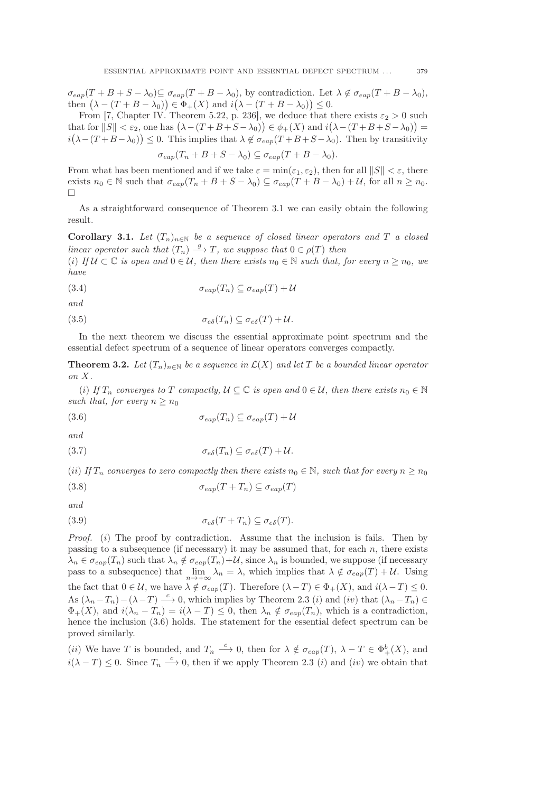$\sigma_{eap}(T + B + S - \lambda_0) \subseteq \sigma_{eap}(T + B - \lambda_0)$ , by contradiction. Let  $\lambda \notin \sigma_{eap}(T + B - \lambda_0)$ , then  $(\lambda - (T + B - \lambda_0)) \in \Phi_+(X)$  and  $i(\lambda - (T + B - \lambda_0)) \leq 0$ .

From [7, Chapter IV. Theorem 5.22, p. 236], we deduce that there exists  $\varepsilon_2 > 0$  such that for  $\|S\| < \varepsilon_2$ , one has  $(\lambda - (T + B + S - \lambda_0)) \in \phi_+(X)$  and  $i(\lambda - (T + B + S - \lambda_0)) =$  $i(\lambda-(T+B-\lambda_0))\leq 0$ . This implies that  $\lambda \notin \sigma_{eap}(T+B+S-\lambda_0)$ . Then by transitivity

$$
\sigma_{eap}(T_n + B + S - \lambda_0) \subseteq \sigma_{eap}(T + B - \lambda_0).
$$

From what has been mentioned and if we take  $\varepsilon = \min(\varepsilon_1, \varepsilon_2)$ , then for all  $||S|| < \varepsilon$ , there exists  $n_0 \in \mathbb{N}$  such that  $\sigma_{eap}(T_n + B + S - \lambda_0) \subseteq \sigma_{eap}(T + B - \lambda_0) + \mathcal{U}$ , for all  $n \geq n_0$ .  $\Box$ 

As a straightforward consequence of Theorem 3.1 we can easily obtain the following result.

Corollary 3.1. Let  $(T_n)_{n\in\mathbb{N}}$  be a sequence of closed linear operators and T a closed linear operator such that  $(T_n) \stackrel{g}{\longrightarrow} T$ , we suppose that  $0 \in \rho(T)$  then

(i) If  $U \subset \mathbb{C}$  is open and  $0 \in \mathcal{U}$ , then there exists  $n_0 \in \mathbb{N}$  such that, for every  $n \geq n_0$ , we have

(3.4) 
$$
\sigma_{\text{cap}}(T_n) \subseteq \sigma_{\text{cap}}(T) + \mathcal{U}
$$

and

(3.5) 
$$
\sigma_{e\delta}(T_n) \subseteq \sigma_{e\delta}(T) + \mathcal{U}.
$$

In the next theorem we discuss the essential approximate point spectrum and the essential defect spectrum of a sequence of linear operators converges compactly.

**Theorem 3.2.** Let  $(T_n)_{n\in\mathbb{N}}$  be a sequence in  $\mathcal{L}(X)$  and let T be a bounded linear operator on X.

(i) If  $T_n$  converges to T compactly,  $\mathcal{U} \subseteq \mathbb{C}$  is open and  $0 \in \mathcal{U}$ , then there exists  $n_0 \in \mathbb{N}$ such that, for every  $n > n_0$ 

$$
(3.6) \qquad \sigma_{\text{cap}}(T_n) \subseteq \sigma_{\text{cap}}(T) + \mathcal{U}
$$

and

$$
\sigma_{e\delta}(T_n) \subseteq \sigma_{e\delta}(T) + \mathcal{U}.
$$

(ii) If  $T_n$  converges to zero compactly then there exists  $n_0 \in \mathbb{N}$ , such that for every  $n \geq n_0$ 

$$
(3.8) \qquad \sigma_{eap}(T + T_n) \subseteq \sigma_{eap}(T)
$$

and

(3.9) 
$$
\sigma_{e\delta}(T+T_n) \subseteq \sigma_{e\delta}(T).
$$

*Proof.* (i) The proof by contradiction. Assume that the inclusion is fails. Then by passing to a subsequence (if necessary) it may be assumed that, for each n, there exists  $\lambda_n \in \sigma_{eap}(T_n)$  such that  $\lambda_n \notin \sigma_{eap}(T_n)+\mathcal{U}$ , since  $\lambda_n$  is bounded, we suppose (if necessary pass to a subsequence) that  $\lim_{n \to +\infty} \lambda_n = \lambda$ , which implies that  $\lambda \notin \sigma_{cap}(T) + \mathcal{U}$ . Using the fact that  $0 \in \mathcal{U}$ , we have  $\lambda \notin \sigma_{eap}(T)$ . Therefore  $(\lambda - T) \in \Phi_+(X)$ , and  $i(\lambda - T) \leq 0$ . As  $(\lambda_n - T_n) - (\lambda - T) \stackrel{c}{\longrightarrow} 0$ , which implies by Theorem 2.3 (*i*) and (*iv*) that  $(\lambda_n - T_n) \in$  $\Phi_+(X)$ , and  $i(\lambda_n - T_n) = i(\lambda - T) \leq 0$ , then  $\lambda_n \notin \sigma_{\text{cap}}(T_n)$ , which is a contradiction, hence the inclusion  $(3.6)$  holds. The statement for the essential defect spectrum can be proved similarly.

(*ii*) We have T is bounded, and  $T_n \stackrel{c}{\longrightarrow} 0$ , then for  $\lambda \notin \sigma_{\text{cap}}(T)$ ,  $\lambda - T \in \Phi^b_+(X)$ , and  $i(\lambda - T) \leq 0$ . Since  $T_n \stackrel{c}{\longrightarrow} 0$ , then if we apply Theorem 2.3 (i) and (iv) we obtain that